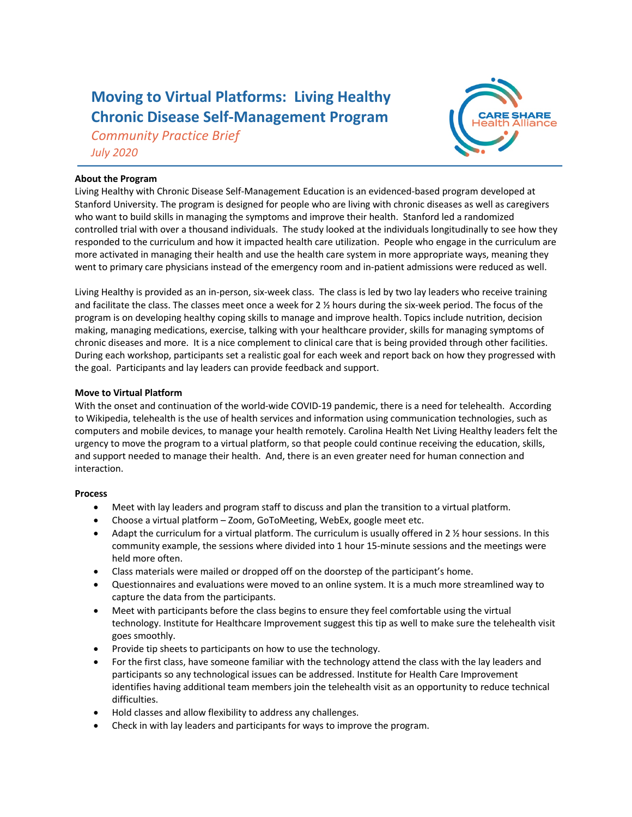# **Moving to Virtual Platforms: Living Healthy Chronic Disease Self-Management Program**

*Community Practice Brief July 2020*



## **About the Program**

Living Healthy with Chronic Disease Self-Management Education is an evidenced-based program developed at Stanford University. The program is designed for people who are living with chronic diseases as well as caregivers who want to build skills in managing the symptoms and improve their health. Stanford led a randomized controlled trial with over a thousand individuals. The study looked at the individuals longitudinally to see how they responded to the curriculum and how it impacted health care utilization. People who engage in the curriculum are more activated in managing their health and use the health care system in more appropriate ways, meaning they went to primary care physicians instead of the emergency room and in-patient admissions were reduced as well.

Living Healthy is provided as an in-person, six-week class. The class is led by two lay leaders who receive training and facilitate the class. The classes meet once a week for 2 ½ hours during the six-week period. The focus of the program is on developing healthy coping skills to manage and improve health. Topics include nutrition, decision making, managing medications, exercise, talking with your healthcare provider, skills for managing symptoms of chronic diseases and more. It is a nice complement to clinical care that is being provided through other facilities. During each workshop, participants set a realistic goal for each week and report back on how they progressed with the goal. Participants and lay leaders can provide feedback and support.

### **Move to Virtual Platform**

With the onset and continuation of the world-wide COVID-19 pandemic, there is a need for telehealth. According to Wikipedia, telehealth is the use of health services and information using communication technologies, such as computers and mobile devices, to manage your health remotely. Carolina Health Net Living Healthy leaders felt the urgency to move the program to a virtual platform, so that people could continue receiving the education, skills, and support needed to manage their health. And, there is an even greater need for human connection and interaction.

## **Process**

- Meet with lay leaders and program staff to discuss and plan the transition to a virtual platform.
- Choose a virtual platform Zoom, GoToMeeting, WebEx, google meet etc.
- Adapt the curriculum for a virtual platform. The curriculum is usually offered in 2 ½ hour sessions. In this community example, the sessions where divided into 1 hour 15-minute sessions and the meetings were held more often.
- Class materials were mailed or dropped off on the doorstep of the participant's home.
- Questionnaires and evaluations were moved to an online system. It is a much more streamlined way to capture the data from the participants.
- Meet with participants before the class begins to ensure they feel comfortable using the virtual technology. Institute for Healthcare Improvement suggest this tip as well to make sure the telehealth visit goes smoothly.
- Provide tip sheets to participants on how to use the technology.
- For the first class, have someone familiar with the technology attend the class with the lay leaders and participants so any technological issues can be addressed. Institute for Health Care Improvement identifies having additional team members join the telehealth visit as an opportunity to reduce technical difficulties.
- Hold classes and allow flexibility to address any challenges.
- Check in with lay leaders and participants for ways to improve the program.